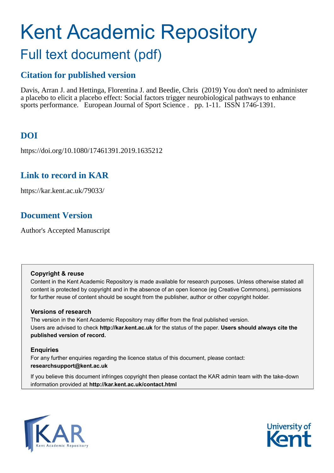# Kent Academic Repository Full text document (pdf)

# **Citation for published version**

Davis, Arran J. and Hettinga, Florentina J. and Beedie, Chris (2019) You don't need to administer a placebo to elicit a placebo effect: Social factors trigger neurobiological pathways to enhance sports performance. European Journal of Sport Science . pp. 1-11. ISSN 1746-1391.

# **DOI**

https://doi.org/10.1080/17461391.2019.1635212

# **Link to record in KAR**

https://kar.kent.ac.uk/79033/

# **Document Version**

Author's Accepted Manuscript

## **Copyright & reuse**

Content in the Kent Academic Repository is made available for research purposes. Unless otherwise stated all content is protected by copyright and in the absence of an open licence (eg Creative Commons), permissions for further reuse of content should be sought from the publisher, author or other copyright holder.

# **Versions of research**

The version in the Kent Academic Repository may differ from the final published version. Users are advised to check **http://kar.kent.ac.uk** for the status of the paper. **Users should always cite the published version of record.**

# **Enquiries**

For any further enquiries regarding the licence status of this document, please contact: **researchsupport@kent.ac.uk**

If you believe this document infringes copyright then please contact the KAR admin team with the take-down information provided at **http://kar.kent.ac.uk/contact.html**



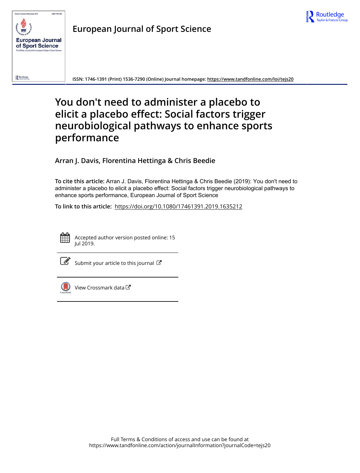



**European Journal of Sport Science**

**ISSN: 1746-1391 (Print) 1536-7290 (Online) Journal homepage:<https://www.tandfonline.com/loi/tejs20>**

# **You don't need to administer a placebo to elicit a placebo effect: Social factors trigger neurobiological pathways to enhance sports performance**

**Arran J. Davis, Florentina Hettinga & Chris Beedie**

**To cite this article:** Arran J. Davis, Florentina Hettinga & Chris Beedie (2019): You don't need to administer a placebo to elicit a placebo effect: Social factors trigger neurobiological pathways to enhance sports performance, European Journal of Sport Science

**To link to this article:** <https://doi.org/10.1080/17461391.2019.1635212>



Accepted author version posted online: 15 Jul 2019.



 $\mathscr S$  [Submit your article to this journal](https://www.tandfonline.com/action/authorSubmission?journalCode=tejs20&show=instructions)  $\mathbb F$ 



 $\bigcirc$  [View Crossmark data](http://crossmark.crossref.org/dialog/?doi=10.1080/17461391.2019.1635212&domain=pdf&date_stamp=2019-07-15) $\mathbb{Z}$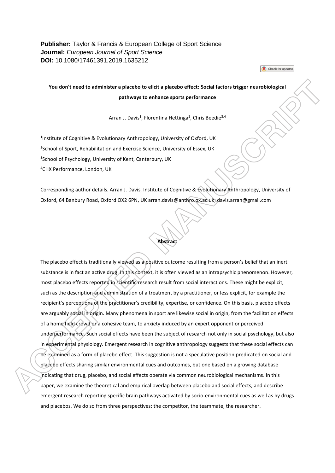## **Publisher:** Taylor & Francis & European College of Sport Science **Journal:** *European Journal of Sport Science*  **DOI:** 10.1080/17461391.2019.1635212

# **You don't need to administer a placebo to elicit a placebo effect: Social factors trigger neurobiological pathways to enhance sports performance**

Check for updates

Arran J. Davis<sup>1</sup>, Florentina Hettinga<sup>2</sup>, Chris Beedie<sup>3,4</sup>

<sup>1</sup>Institute of Cognitive & Evolutionary Anthropology, University of Oxford, UK <sup>2</sup>School of Sport, Rehabilitation and Exercise Science, University of Essex, UK <sup>3</sup>School of Psychology, University of Kent, Canterbury, UK <sup>4</sup>CHX Performance, London, UK

Corresponding author details. Arran J. Davis, Institute of Cognitive & Evolutionary Anthropology, University of Oxford, 64 Banbury Road, Oxford OX2 6PN, U[K arran.davis@anthro.ox.ac.uk;](mailto:arran.davis@anthro.ox.ac.uk) [davis.arran@gmail.com](mailto:davis.arran@gmail.com)

**Abstract** 

The placebo effect is traditionally viewed as a positive outcome resulting from a person's belief that an inert substance is in fact an active drug. In this context, it is often viewed as an intrapsychic phenomenon. However, most placebo effects reported in scientific research result from social interactions. These might be explicit, such as the description and administration of a treatment by a practitioner, or less explicit, for example the recipient's perceptions of the practitioner's credibility, expertise, or confidence. On this basis, placebo effects are arguably social in origin. Many phenomena in sport are likewise social in origin, from the facilitation effects of a home field crowd or a cohesive team, to anxiety induced by an expert opponent or perceived underperformance. Such social effects have been the subject of research not only in social psychology, but also in experimental physiology. Emergent research in cognitive anthropology suggests that these social effects can be examined as a form of placebo effect. This suggestion is not a speculative position predicated on social and placebo effects sharing similar environmental cues and outcomes, but one based on a growing database indicating that drug, placebo, and social effects operate via common neurobiological mechanisms. In this paper, we examine the theoretical and empirical overlap between placebo and social effects, and describe emergent research reporting specific brain pathways activated by socio-environmental cues as well as by drugs and placebos. We do so from three perspectives: the competitor, the teammate, the researcher.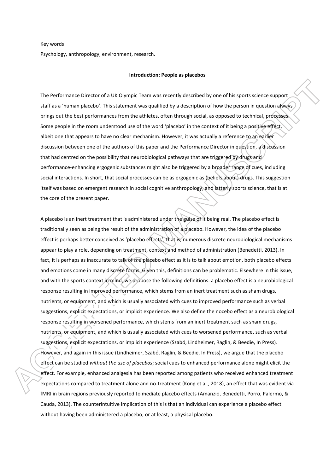#### Key words

Psychology, anthropology, environment, research.

#### **Introduction: People as placebos**

The Performance Director of a UK Olympic Team was recently described by one of his sports science support staff as a 'human placebo'. This statement was qualified by a description of how the person in question always brings out the best performances from the athletes, often through social, as opposed to technical, processes. Some people in the room understood use of the word 'placebo' in the context of it being a positive effect, albeit one that appears to have no clear mechanism. However, it was actually a reference to an earlier discussion between one of the authors of this paper and the Performance Director in question, a discussion that had centred on the possibility that neurobiological pathways that are triggered by drugs and performance-enhancing ergogenic substances might also be triggered by a broader range of cues, including social interactions. In short, that social processes can be as ergogenic as (beliefs about) drugs. This suggestion itself was based on emergent research in social cognitive anthropology, and latterly sports science, that is at the core of the present paper.

A placebo is an inert treatment that is administered under the guise of it being real. The placebo effect is traditionally seen as being the result of the administration of a placebo. However, the idea of the placebo effect is perhaps better conceived as 'placebo effects'; that is, numerous discrete neurobiological mechanisms appear to play a role, depending on treatment, context and method of administration (Benedetti, 2013). In fact, it is perhaps as inaccurate to talk of *the* placebo effect as it is to talk about emotion, both placebo effects and emotions come in many discrete forms. Given this, definitions can be problematic. Elsewhere in this issue, and with the sports context in mind, we propose the following definitions: a placebo effect is a neurobiological response resulting in improved performance, which stems from an inert treatment such as sham drugs, nutrients, or equipment, and which is usually associated with cues to improved performance such as verbal suggestions, explicit expectations, or implicit experience. We also define the nocebo effect as a neurobiological response resulting in worsened performance, which stems from an inert treatment such as sham drugs, nutrients, or equipment, and which is usually associated with cues to worsened performance, such as verbal suggestions, explicit expectations, or implicit experience (Szabó, Lindheimer, Raglin, & Beedie, In Press). However, and again in this issue (Lindheimer, Szabó, Raglin, & Beedie, In Press), we argue that the placebo effect can be studied *without the use of placebos*; social cues to enhanced performance alone might elicit the effect. For example, enhanced analgesia has been reported among patients who received enhanced treatment expectations compared to treatment alone and no-treatment (Kong et al., 2018), an effect that was evident via fMRI in brain regions previously reported to mediate placebo effects (Amanzio, Benedetti, Porro, Palermo, & Cauda, 2013). The counterintuitive implication of this is that an individual can experience a placebo effect without having been administered a placebo, or at least, a physical placebo.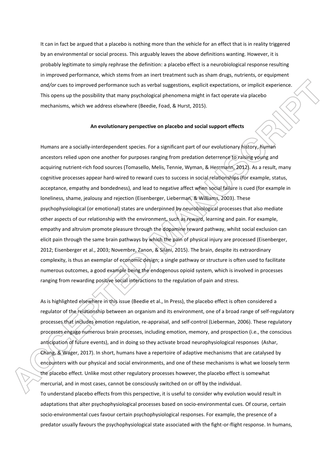It can in fact be argued that a placebo is nothing more than the vehicle for an effect that is in reality triggered by an environmental or social process. This arguably leaves the above definitions wanting. However, it is probably legitimate to simply rephrase the definition: a placebo effect is a neurobiological response resulting in improved performance, which stems from an inert treatment such as sham drugs, nutrients, or equipment *and/or* cues to improved performance such as verbal suggestions, explicit expectations, or implicit experience. This opens up the possibility that many psychological phenomena might in fact operate via placebo mechanisms, which we address elsewhere (Beedie, Foad, & Hurst, 2015).

#### **An evolutionary perspective on placebo and social support effects**

Humans are a socially-interdependent species. For a significant part of our evolutionary history, human ancestors relied upon one another for purposes ranging from predation deterrence to raising young and acquiring nutrient-rich food sources (Tomasello, Melis, Tennie, Wyman, & Herrmann, 2012). As a result, many cognitive processes appear hard-wired to reward cues to success in social relationships (for example, status, acceptance, empathy and bondedness), and lead to negative affect when social failure is cued (for example in loneliness, shame, jealousy and rejection (Eisenberger, Lieberman, & Williams, 2003). These psychophysiological (or emotional) states are underpinned by neurobiological processes that also mediate other aspects of our relationship with the environment, such as reward, learning and pain. For example, empathy and altruism promote pleasure through the dopamine reward pathway, whilst social exclusion can elicit pain through the same brain pathways by which the pain of physical injury are processed (Eisenberger, 2012; Eisenberger et al., 2003; Novembre, Zanon, & Silani, 2015). The brain, despite its extraordinary complexity, is thus an exemplar of economic design; a single pathway or structure is often used to facilitate numerous outcomes, a good example being the endogenous opioid system, which is involved in processes ranging from rewarding positive social interactions to the regulation of pain and stress.

As is highlighted elsewhere in this issue (Beedie et al., In Press), the placebo effect is often considered a regulator of the relationship between an organism and its environment, one of a broad range of self-regulatory processes that includes emotion regulation, re-appraisal, and self-control (Lieberman, 2006). These regulatory processes engage numerous brain processes, including emotion, memory, and prospection (i.e., the conscious anticipation of future events), and in doing so they activate broad neurophysiological responses (Ashar, Chang, & Wager, 2017). In short, humans have a repertoire of adaptive mechanisms that are catalysed by encounters with our physical and social environments, and one of these mechanisms is what we loosely term the placebo effect. Unlike most other regulatory processes however, the placebo effect is somewhat mercurial, and in most cases, cannot be consciously switched on or off by the individual.

To understand placebo effects from this perspective, it is useful to consider why evolution would result in adaptations that alter psychophysiological processes based on socio-environmental cues. Of course, certain socio-environmental cues favour certain psychophysiological responses. For example, the presence of a predator usually favours the psychophysiological state associated with the fight-or-flight response. In humans,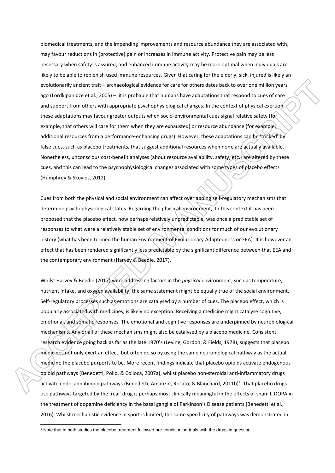biomedical treatments, and the impending improvements and resource abundance they are associated with, may favour reductions in (protective) pain or increases in immune activity. Protective pain may be less necessary when safety is assured, and enhanced immune activity may be more optimal when individuals are likely to be able to replenish used immune resources. Given that caring for the elderly, sick, injured is likely an evolutionarily ancient trait – archaeological evidence for care for others dates back to over one million years ago (Lordkipanidze et al., 2005) – it is probable that humans have adaptations that respond to cues of care and support from others with appropriate psychophysiological changes. In the context of physical exertion, these adaptations may favour greater outputs when socio-environmental cues signal relative safety (for example, that others will care for them when they are exhausted) or resource abundance (for example, additional resources from a performance-enhancing drugs). However, these adaptations can be 'tricked' by false cues, such as placebo treatments, that suggest additional resources when none are actually available. Nonetheless, unconscious cost-benefit analyses (about resource availability, safety, etc.) are altered by these cues, and this can lead to the psychophysiological changes associated with some types of placebo effects (Humphrey & Skoyles, 2012).

Cues from both the physical and social environment can affect overlapping self-regulatory mechanisms that determine psychophysiological states. Regarding the physical environment, In this context it has been proposed that the placebo effect, now perhaps relatively unpredictable, was once a predictable set of responses to what were a relatively stable set of environmental conditions for much of our evolutionary history (what has been termed the human Environment of Evolutionary Adaptedness or EEA). It is however an effect that has been rendered significantly less predictable by the significant difference between that EEA and the contemporary environment (Harvey & Beedie, 2017).

Whilst Harvey & Beedie (2017) were addressing factors in the *physical* environment, such as temperature, nutrient intake, and oxygen availability, the same statement might be equally true of the social environment. Self-regulatory processes such as emotions are catalysed by a number of cues. The placebo effect, which is popularly associated with medicines, is likely no exception. Receiving a medicine might catalyse cognitive, emotional, and somatic responses. The emotional and cognitive responses are underpinned by neurobiological mechanisms. Any or all of these mechanisms might also be catalysed by a placebo medicine. Consistent research evidence going back as far as the late 1970's (Levine, Gordon, & Fields, 1978), suggests that placebo medicines not only exert an effect, but often do so by using the same neurobiological pathway as the actual medicine the placebo purports to be. More recent findings indicate that placebo opioids activate endogenous opioid pathways (Benedetti, Pollo, & Colloca, 2007a), whilst placebo non-steroidal anti-inflammatory drugs activate endocannabinoid pathways (Benedetti, Amanzio, Rosato, & Blanchard, 2011b)<sup>1</sup>. That placebo drugs use pathways targeted by the 'real' drug is perhaps most clinically meaningful in the effects of sham L-DOPA in the treatment of dopamine deficiency in the basal ganglia of Parkinson's Disease patients (Benedetti et al., 2016). Whilst mechanistic evidence in sport is limited, the same specificity of pathways was demonstrated in

-

<sup>&</sup>lt;sup>1</sup> Note that in both studies the placebo treatment followed pre-conditioning trials with the drugs in question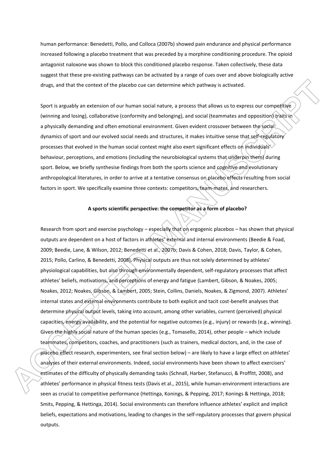human performance: Benedetti, Pollo, and Colloca (2007b) showed pain endurance and physical performance increased following a placebo treatment that was preceded by a morphine conditioning procedure. The opioid antagonist naloxone was shown to block this conditioned placebo response. Taken collectively, these data suggest that these pre-existing pathways can be activated by a range of cues over and above biologically active drugs, and that the context of the placebo cue can determine which pathway is activated.

Sport is arguably an extension of our human social nature, a process that allows us to express our competitive (winning and losing), collaborative (conformity and belonging), and social (teammates and opposition) traits in a physically demanding and often emotional environment. Given evident crossover between the social dynamics of sport and our evolved social needs and structures, it makes intuitive sense that self-regulatory processes that evolved in the human social context might also exert significant effects on individuals' behaviour, perceptions, and emotions (including the neurobiological systems that underpin them) during sport. Below, we briefly synthesise findings from both the sports science and cognitive and evolutionary anthropological literatures, in order to arrive at a tentative consensus on placebo effects resulting from social factors in sport. We specifically examine three contexts: competitors, team-mates, and researchers.

## **A sports scientific perspective: the competitor as a form of placebo?**

Research from sport and exercise psychology – especially that on ergogenic placebos – has shown that physical outputs are dependent on a host of factors in athletes' external and internal environments (Beedie & Foad, 2009; Beedie, Lane, & Wilson, 2012; Benedetti et al., 2007b; Davis & Cohen, 2018; Davis, Taylor, & Cohen, 2015; Pollo, Carlino, & Benedetti, 2008). Physical outputs are thus not solely determined by athletes' physiological capabilities, but also through environmentally dependent, self-regulatory processes that affect athletes' beliefs, motivations, and perceptions of energy and fatigue (Lambert, Gibson, & Noakes, 2005; Noakes, 2012; Noakes, Gibson, & Lambert, 2005; Stein, Collins, Daniels, Noakes, & Zigmond, 2007). Athletes' internal states and external environments contribute to both explicit and tacit cost-benefit analyses that determine physical output levels, taking into account, among other variables, current (perceived) physical capacities, energy availability, and the potential for negative outcomes (e.g., injury) or rewards (e.g., winning). Given the highly social nature of the human species (e.g., Tomasello, 2014), other people – which include teammates, competitors, coaches, and practitioners (such as trainers, medical doctors, and, in the case of placebo effect research, experimenters, see final section below) – are likely to have a large effect on athletes' analyses of their external environments. Indeed, social environments have been shown to affect exercisers' estimates of the difficulty of physically demanding tasks (Schnall, Harber, Stefanucci, & Proffitt, 2008), and athletes' performance in physical fitness tests (Davis et al., 2015), while human-environment interactions are seen as crucial to competitive performance (Hettinga, Konings, & Pepping, 2017; Konings & Hettinga, 2018; Smits, Pepping, & Hettinga, 2014). Social environments can therefore influence athletes' explicit and implicit beliefs, expectations and motivations, leading to changes in the self-regulatory processes that govern physical outputs.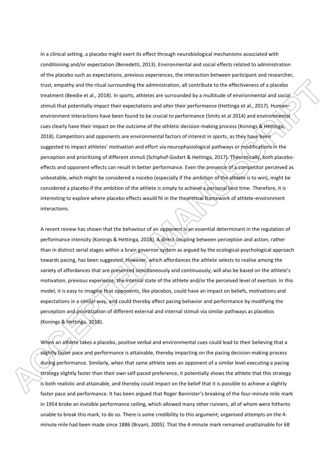In a clinical setting, a placebo might exert its effect through neurobiological mechanisms associated with conditioning and/or expectation (Benedetti, 2013). Environmental and social effects related to administration of the placebo such as expectations, previous experiences, the interaction between participant and researcher, trust, empathy and the ritual surrounding the administration, all contribute to the effectiveness of a placebo treatment (Beedie et al., 2018). In sports, athletes are surrounded by a multitude of environmental and social stimuli that potentially impact their expectations and alter their performance (Hettinga et al., 2017). Human– environment interactions have been found to be crucial to performance (Smits et al 2014) and environmental cues clearly have their impact on the outcome of the athletic decision-making process (Konings & Hettinga, 2018). Competitors and opponents are environmental factors of interest in sports, as they have been suggested to impact athletes' motivation and effort via neurophysiological pathways or modifications in the perception and prioritizing of different stimuli (Schiphof-Godart & Hettinga, 2017). Theoretically, both placeboeffects and opponent-effects can result in better performance. Even the presence of a competitor perceived as unbeatable, which might be considered a nocebo (especially if the ambition of the athlete is to win), might be considered a placebo if the ambition of the athlete is simply to achieve a personal best time. Therefore, it is interesting to explore where placebo effects would fit in the theoretical framework of athlete-environment interactions.

A recent review has shown that the behaviour of an opponent is an essential determinant in the regulation of performance intensity (Konings & Hettinga, 2018). A direct coupling between perception and action, rather than in distinct serial stages within a brain governor system as argued by the ecological-psychological approach towards pacing, has been suggested. However, which affordances the athlete selects to realise among the variety of affordances that are presented simultaneously and continuously, will also be based on the athlete's motivation, previous experience, the internal state of the athlete and/or the perceived level of exertion. In this model, it is easy to imagine that opponents, like placebos, could have an impact on beliefs, motivations and expectations in a similar way, and could thereby affect pacing behavior and performance by modifying the perception and prioritization of different external and internal stimuli via similar pathways as placebos (Konings & Hettinga, 2018).

When an athlete takes a placebo, positive verbal and environmental cues could lead to their believing that a slightly faster pace and performance is attainable, thereby impacting on the pacing decision-making process during performance. Similarly, when that same athlete sees an opponent of a similar level executing a pacing strategy slightly faster than their own self-paced preference, it potentially shows the athlete that this strategy is both realistic and attainable, and thereby could impact on the belief that it is possible to achieve a slightly faster pace and performance. It has been argued that Roger Bannister's breaking of the four-minute mile mark in 1954 broke an invisible performance ceiling, which allowed many other runners, all of whom were hitherto unable to break this mark, to do so. There is some credibility to this argument; organised attempts on the 4 minute mile had been made since 1886 (Bryant, 2005). That the 4-minute mark remained unattainable for 68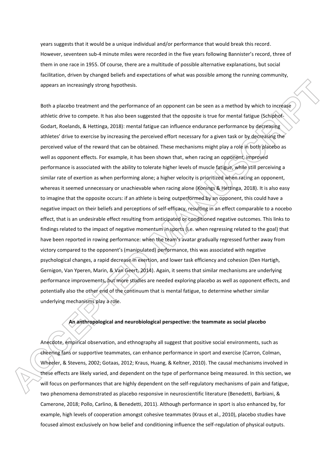years suggests that it would be a unique individual and/or performance that would break this record. However, seventeen sub-4 minute miles were recorded in the five years following Bannister's record, three of them in one race in 1955. Of course, there are a multitude of possible alternative explanations, but social facilitation, driven by changed beliefs and expectations of what was possible among the running community, appears an increasingly strong hypothesis.

Both a placebo treatment and the performance of an opponent can be seen as a method by which to increase athletic drive to compete. It has also been suggested that the opposite is true for mental fatigue (Schiphof-Godart, Roelands, & Hettinga, 2018): mental fatigue can influence endurance performance by decreasing athletes' drive to exercise by increasing the perceived effort necessary for a given task or by decreasing the perceived value of the reward that can be obtained. These mechanisms might play a role in both placebo as well as opponent effects. For example, it has been shown that, when racing an opponent, improved performance is associated with the ability to tolerate higher levels of muscle fatigue, while still perceiving a similar rate of exertion as when performing alone; a higher velocity is prioritized when racing an opponent, whereas it seemed unnecessary or unachievable when racing alone (Konings & Hettinga, 2018). It is also easy to imagine that the opposite occurs: if an athlete is being outperformed by an opponent, this could have a negative impact on their beliefs and perceptions of self-efficacy, resulting in an effect comparable to a nocebo effect, that is an undesirable effect resulting from anticipated or conditioned negative outcomes. This links to findings related to the impact of negative momentum in sports (i.e. when regressing related to the goal) that have been reported in rowing performance: when the team's avatar gradually regressed further away from victory compared to the opponent's (manipulated) performance, this was associated with negative psychological changes, a rapid decrease in exertion, and lower task efficiency and cohesion (Den Hartigh, Gernigon, Van Yperen, Marin, & Van Geert, 2014). Again, it seems that similar mechanisms are underlying performance improvements, but more studies are needed exploring placebo as well as opponent effects, and potentially also the other end of the continuum that is mental fatigue, to determine whether similar underlying mechanisms play a role.

## **An anthropological and neurobiological perspective: the teammate as social placebo**

Anecdote, empirical observation, and ethnography all suggest that positive social environments, such as cheering fans or supportive teammates, can enhance performance in sport and exercise (Carron, Colman, Wheeler, & Stevens, 2002; Gotaas, 2012; Kraus, Huang, & Keltner, 2010). The causal mechanisms involved in these effects are likely varied, and dependent on the type of performance being measured. In this section, we will focus on performances that are highly dependent on the self-regulatory mechanisms of pain and fatigue, two phenomena demonstrated as placebo responsive in neuroscientific literature (Benedetti, Barbiani, & Camerone, 2018; Pollo, Carlino, & Benedetti, 2011). Although performance in sport is also enhanced by, for example, high levels of cooperation amongst cohesive teammates (Kraus et al., 2010), placebo studies have focused almost exclusively on how belief and conditioning influence the self-regulation of physical outputs.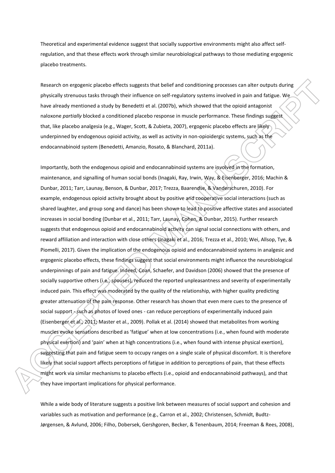Theoretical and experimental evidence suggest that socially supportive environments might also affect selfregulation, and that these effects work through similar neurobiological pathways to those mediating ergogenic placebo treatments.

Research on ergogenic placebo effects suggests that belief and conditioning processes can alter outputs during physically strenuous tasks through their influence on self-regulatory systems involved in pain and fatigue. We have already mentioned a study by Benedetti et al. (2007b), which showed that the opioid antagonist naloxone *partially* blocked a conditioned placebo response in muscle performance. These findings suggest that, like placebo analgesia (e.g., Wager, Scott, & Zubieta, 2007), ergogenic placebo effects are likely underpinned by endogenous opioid activity, as well as activity in non-opioidergic systems, such as the endocannabinoid system (Benedetti, Amanzio, Rosato, & Blanchard, 2011a).

Importantly, both the endogenous opioid and endocannabinoid systems are involved in the formation, maintenance, and signalling of human social bonds (Inagaki, Ray, Irwin, Way, & Eisenberger, 2016; Machin & Dunbar, 2011; Tarr, Launay, Benson, & Dunbar, 2017; Trezza, Baarendse, & Vanderschuren, 2010). For example, endogenous opioid activity brought about by positive and cooperative social interactions (such as shared laughter, and group song and dance) has been shown to lead to positive affective states and associated increases in social bonding (Dunbar et al., 2011; Tarr, Launay, Cohen, & Dunbar, 2015). Further research suggests that endogenous opioid and endocannabinoid activity can signal social connections with others, and reward affiliation and interaction with close others (Inagaki et al., 2016; Trezza et al., 2010; Wei, Allsop, Tye, & Piomelli, 2017). Given the implication of the endogenous opioid and endocannabinoid systems in analgesic and ergogenic placebo effects, these findings suggest that social environments might influence the neurobiological underpinnings of pain and fatigue. Indeed, Coan, Schaefer, and Davidson (2006) showed that the presence of socially supportive others (i.e., spouses), reduced the reported unpleasantness and severity of experimentally induced pain. This effect was moderated by the quality of the relationship, with higher quality predicting greater attenuation of the pain response. Other research has shown that even mere cues to the presence of social support - such as photos of loved ones - can reduce perceptions of experimentally induced pain (Eisenberger et al., 2011; Master et al., 2009). Pollak et al. (2014) showed that metabolites from working muscles evoke sensations described as 'fatigue' when at low concentrations (i.e., when found with moderate physical exertion) and 'pain' when at high concentrations (i.e., when found with intense physical exertion), suggesting that pain and fatigue seem to occupy ranges on a single scale of physical discomfort. It is therefore likely that social support affects perceptions of fatigue in addition to perceptions of pain, that these effects might work via similar mechanisms to placebo effects (i.e., opioid and endocannabinoid pathways), and that they have important implications for physical performance.

While a wide body of literature suggests a positive link between measures of social support and cohesion and variables such as motivation and performance (e.g., Carron et al., 2002; Christensen, Schmidt, Budtz-Jørgensen, & Avlund, 2006; Filho, Dobersek, Gershgoren, Becker, & Tenenbaum, 2014; Freeman & Rees, 2008),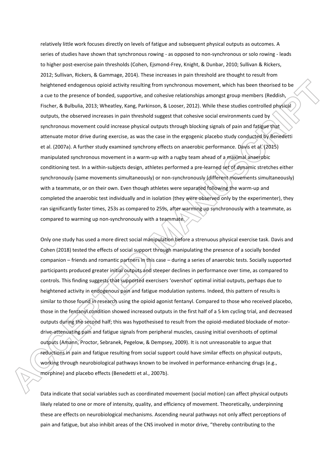relatively little work focuses directly on levels of fatigue and subsequent physical outputs as outcomes. A series of studies have shown that synchronous rowing - as opposed to non-synchronous or solo rowing - leads to higher post-exercise pain thresholds (Cohen, Ejsmond-Frey, Knight, & Dunbar, 2010; Sullivan & Rickers, 2012; Sullivan, Rickers, & Gammage, 2014). These increases in pain threshold are thought to result from heightened endogenous opioid activity resulting from synchronous movement, which has been theorised to be a cue to the presence of bonded, supportive, and cohesive relationships amongst group members (Reddish, Fischer, & Bulbulia, 2013; Wheatley, Kang, Parkinson, & Looser, 2012). While these studies controlled physical outputs, the observed increases in pain threshold suggest that cohesive social environments cued by synchronous movement could increase physical outputs through blocking signals of pain and fatigue that attenuate motor drive during exercise, as was the case in the ergogenic placebo study conducted by Benedetti et al. (2007a). A further study examined synchrony effects on anaerobic performance. Davis et al. (2015) manipulated synchronous movement in a warm-up with a rugby team ahead of a maximal anaerobic conditioning test. In a within-subjects design, athletes performed a pre-learned set of dynamic stretches either synchronously (same movements simultaneously) or non-synchronously (different movements simultaneously) with a teammate, or on their own. Even though athletes were separated following the warm-up and completed the anaerobic test individually and in isolation (they were observed only by the experimenter), they ran significantly faster times, 253s as compared to 259s, after warming up synchronously with a teammate, as compared to warming up non-synchronously with a teammate.

Only one study has used a more direct social manipulation before a strenuous physical exercise task. Davis and Cohen (2018) tested the effects of social support through manipulating the presence of a socially bonded companion – friends and romantic partners in this case – during a series of anaerobic tests. Socially supported participants produced greater initial outputs and steeper declines in performance over time, as compared to controls. This finding suggests that supported exercisers 'overshot' optimal initial outputs, perhaps due to heightened activity in endogenous pain and fatigue modulation systems. Indeed, this pattern of results is similar to those found in research using the opioid agonist fentanyl. Compared to those who received placebo, those in the fentanyl condition showed increased outputs in the first half of a 5 km cycling trial, and decreased outputs during the second half; this was hypothesised to result from the opioid-mediated blockade of motordrive-attenuating pain and fatigue signals from peripheral muscles, causing initial overshoots of optimal outputs (Amann, Proctor, Sebranek, Pegelow, & Dempsey, 2009). It is not unreasonable to argue that reductions in pain and fatigue resulting from social support could have similar effects on physical outputs, working through neurobiological pathways known to be involved in performance-enhancing drugs (e.g., morphine) and placebo effects (Benedetti et al., 2007b).

Data indicate that social variables such as coordinated movement (social motion) can affect physical outputs likely related to one or more of intensity, quality, and efficiency of movement. Theoretically, underpinning these are effects on neurobiological mechanisms. Ascending neural pathways not only affect perceptions of pain and fatigue, but also inhibit areas of the CNS involved in motor drive, "thereby contributing to the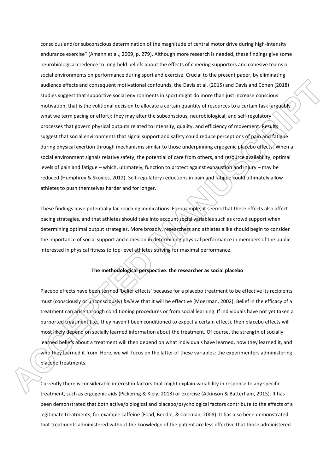conscious and/or subconscious determination of the magnitude of central motor drive during high-intensity endurance exercise" (Amann et al., 2009, p. 279). Although more research is needed, these findings give some neurobiological credence to long-held beliefs about the effects of cheering supporters and cohesive teams or social environments on performance during sport and exercise. Crucial to the present paper, by eliminating audience effects and consequent motivational confounds, the Davis et al. (2015) and Davis and Cohen (2018) studies suggest that supportive social environments in sport might do more than just increase conscious motivation, that is the volitional decision to allocate a certain quantity of resources to a certain task (arguably what we term pacing or effort); they may alter the subconscious, neurobiological, and self-regulatory processes that govern physical outputs related to intensity, quality, and efficiency of movement. Results suggest that social environments that signal support and safety could reduce perceptions of pain and fatigue during physical exertion through mechanisms similar to those underpinning ergogenic placebo effects. When a social environment signals relative safety, the potential of care from others, and resource availability, optimal levels of pain and fatigue – which, ultimately, function to protect against exhaustion and injury – may be reduced (Humphrey & Skoyles, 2012). Self-regulatory reductions in pain and fatigue could ultimately allow athletes to push themselves harder and for longer.

These findings have potentially far-reaching implications. For example, it seems that these effects also affect pacing strategies, and that athletes should take into account social variables such as crowd support when determining optimal output strategies. More broadly, researchers and athletes alike should begin to consider the importance of social support and cohesion in determining physical performance in members of the public interested in physical fitness to top-level athletes striving for maximal performance.

## **The methodological perspective: the researcher as social placebo**

Placebo effects have been termed 'belief effects' because for a placebo treatment to be effective its recipients must (consciously or unconsciously) *believe* that it will be effective (Moerman, 2002). Belief in the efficacy of a treatment can arise through conditioning procedures or from social learning. If individuals have not yet taken a purported treatment (i.e., they haven't been conditioned to expect a certain effect), then placebo effects will most likely depend on socially learned information about the treatment. Of course, the strength of socially learned beliefs about a treatment will then depend on what individuals have learned, how they learned it, and who they learned it from. Here, we will focus on the latter of these variables: the experimenters administering placebo treatments.

Currently there is considerable interest in factors that might explain variability in response to any specific treatment, such as ergogenic aids (Pickering & Kiely, 2018) or exercise (Atkinson & Batterham, 2015). It has been demonstrated that both active/biological and placebo/psychological factors contribute to the effects of a legitimate treatments, for example caffeine (Foad, Beedie, & Coleman, 2008). It has also been demonstrated that treatments administered without the knowledge of the patient are less effective that those administered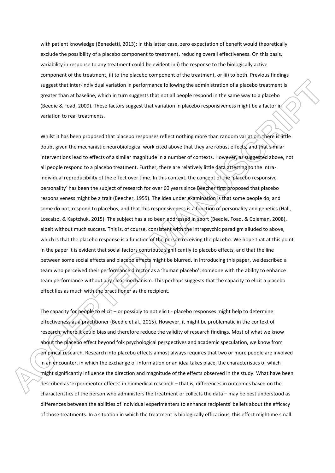with patient knowledge (Benedetti, 2013); in this latter case, zero expectation of benefit would theoretically exclude the possibility of a placebo component to treatment, reducing overall effectiveness. On this basis, variability in response to any treatment could be evident in i) the response to the biologically active component of the treatment, ii) to the placebo component of the treatment, or iii) to both. Previous findings suggest that inter-individual variation in performance following the administration of a placebo treatment is greater than at baseline, which in turn suggests that not all people respond in the same way to a placebo (Beedie & Foad, 2009). These factors suggest that variation in placebo responsiveness might be a factor in variation to real treatments.

Whilst it has been proposed that placebo responses reflect nothing more than random variation, there is little doubt given the mechanistic neurobiological work cited above that they are robust effects, and that similar interventions lead to effects of a similar magnitude in a number of contexts. However, as suggested above, not all people respond to a placebo treatment. Further, there are relatively little data attesting to the intraindividual reproducibility of the effect over time. In this context, the concept of the 'placebo responsive personality' has been the subject of research for over 60 years since Beecher first proposed that placebo responsiveness might be a trait (Beecher, 1955). The idea under examination is that some people do, and some do not, respond to placebos, and that this responsiveness is a function of personality and genetics (Hall, Loscalzo, & Kaptchuk, 2015). The subject has also been addressed in sport (Beedie, Foad, & Coleman, 2008), albeit without much success. This is, of course, consistent with the intrapsychic paradigm alluded to above, which is that the placebo response is a function of the person receiving the placebo. We hope that at this point in the paper it is evident that social factors contribute significantly to placebo effects, and that the line between some social effects and placebo effects might be blurred. In introducing this paper, we described a team who perceived their performance director as a 'human placebo'; someone with the ability to enhance team performance without any clear mechanism. This perhaps suggests that the capacity to elicit a placebo effect lies as much with the practitioner as the recipient.

The capacity for people to elicit – or possibly to not elicit - placebo responses might help to determine effectiveness as a practitioner (Beedie et al., 2015). However, it might be problematic in the context of research, where it could bias and therefore reduce the validity of research findings. Most of what we know about the placebo effect beyond folk psychological perspectives and academic speculation, we know from empirical research. Research into placebo effects almost always requires that two or more people are involved in an encounter, in which the exchange of information or an idea takes place, the characteristics of which might significantly influence the direction and magnitude of the effects observed in the study. What have been described as 'experimenter effects' in biomedical research – that is, differences in outcomes based on the characteristics of the person who administers the treatment or collects the data – may be best understood as differences between the abilities of individual experimenters to enhance recipients' beliefs about the efficacy of those treatments. In a situation in which the treatment is biologically efficacious, this effect might me small.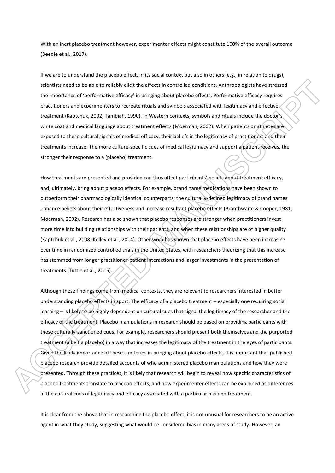With an inert placebo treatment however, experimenter effects might constitute 100% of the overall outcome (Beedie et al., 2017).

If we are to understand the placebo effect, in its social context but also in others (e.g., in relation to drugs), scientists need to be able to reliably elicit the effects in controlled conditions. Anthropologists have stressed the importance of 'performative efficacy' in bringing about placebo effects. Performative efficacy requires practitioners and experimenters to recreate rituals and symbols associated with legitimacy and effective treatment (Kaptchuk, 2002; Tambiah, 1990). In Western contexts, symbols and rituals include the doctor's white coat and medical language about treatment effects (Moerman, 2002). When patients or athletes are exposed to these cultural signals of medical efficacy, their beliefs in the legitimacy of practitioners and their treatments increase. The more culture-specific cues of medical legitimacy and support a patient receives, the stronger their response to a (placebo) treatment.

How treatments are presented and provided can thus affect participants' beliefs about treatment efficacy, and, ultimately, bring about placebo effects. For example, brand name medications have been shown to outperform their pharmacologically identical counterparts; the culturally-defined legitimacy of brand names enhance beliefs about their effectiveness and increase resultant placebo effects (Branthwaite & Cooper, 1981; Moerman, 2002). Research has also shown that placebo responses are stronger when practitioners invest more time into building relationships with their patients, and when these relationships are of higher quality (Kaptchuk et al., 2008; Kelley et al., 2014). Other work has shown that placebo effects have been increasing over time in randomized controlled trials in the United States, with researchers theorizing that this increase has stemmed from longer practitioner-patient interactions and larger investments in the presentation of treatments (Tuttle et al., 2015).

Although these findings come from medical contexts, they are relevant to researchers interested in better understanding placebo effects in sport. The efficacy of a placebo treatment – especially one requiring social learning – is likely to be highly dependent on cultural cues that signal the legitimacy of the researcher and the efficacy of the treatment. Placebo manipulations in research should be based on providing participants with these culturally-sanctioned cues. For example, researchers should present both themselves and the purported treatment (albeit a placebo) in a way that increases the legitimacy of the treatment in the eyes of participants. Given the likely importance of these subtleties in bringing about placebo effects, it is important that published placebo research provide detailed accounts of who administered placebo manipulations and how they were presented. Through these practices, it is likely that research will begin to reveal how specific characteristics of placebo treatments translate to placebo effects, and how experimenter effects can be explained as differences in the cultural cues of legitimacy and efficacy associated with a particular placebo treatment.

It is clear from the above that in researching the placebo effect, it is not unusual for researchers to be an active agent in what they study, suggesting what would be considered bias in many areas of study. However, an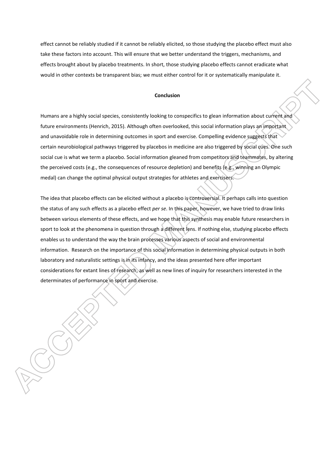effect cannot be reliably studied if it cannot be reliably elicited, so those studying the placebo effect must also take these factors into account. This will ensure that we better understand the triggers, mechanisms, and effects brought about by placebo treatments. In short, those studying placebo effects cannot eradicate what would in other contexts be transparent bias; we must either control for it or systematically manipulate it.

## **Conclusion**

Humans are a highly social species, consistently looking to conspecifics to glean information about current and future environments (Henrich, 2015). Although often overlooked, this social information plays an important and unavoidable role in determining outcomes in sport and exercise. Compelling evidence suggests that certain neurobiological pathways triggered by placebos in medicine are also triggered by social cues. One such social cue is what we term a placebo. Social information gleaned from competitors and teammates, by altering the perceived costs (e.g., the consequences of resource depletion) and benefits (e.g., winning an Olympic medal) can change the optimal physical output strategies for athletes and exercisers.

The idea that placebo effects can be elicited without a placebo is controversial. It perhaps calls into question the status of any such effects as a placebo effect *per se*. In this paper, however, we have tried to draw links between various elements of these effects, and we hope that this synthesis may enable future researchers in sport to look at the phenomena in question through a different lens. If nothing else, studying placebo effects enables us to understand the way the brain processes various aspects of social and environmental information. Research on the importance of this social information in determining physical outputs in both laboratory and naturalistic settings is in its infancy, and the ideas presented here offer important considerations for extant lines of research, as well as new lines of inquiry for researchers interested in the determinates of performance in sport and exercise.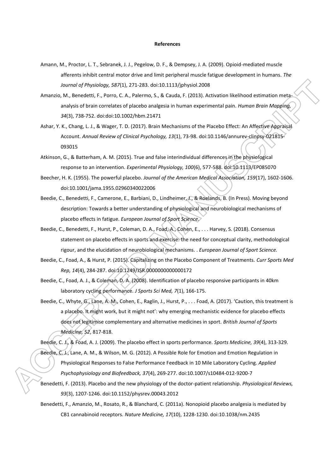#### **References**

- Amann, M., Proctor, L. T., Sebranek, J. J., Pegelow, D. F., & Dempsey, J. A. (2009). Opioid‐mediated muscle afferents inhibit central motor drive and limit peripheral muscle fatigue development in humans. *The Journal of Physiology, 587*(1), 271-283. doi:10.1113/jphysiol.2008
- Amanzio, M., Benedetti, F., Porro, C. A., Palermo, S., & Cauda, F. (2013). Activation likelihood estimation metaanalysis of brain correlates of placebo analgesia in human experimental pain. *Human Brain Mapping, 34*(3), 738-752. doi:doi:10.1002/hbm.21471
- Ashar, Y. K., Chang, L. J., & Wager, T. D. (2017). Brain Mechanisms of the Placebo Effect: An Affective Appraisal Account. *Annual Review of Clinical Psychology, 13*(1), 73-98. doi:10.1146/annurev-clinpsy-021815- 093015
- Atkinson, G., & Batterham, A. M. (2015). True and false interindividual differences in the physiological response to an intervention. *Experimental Physiology, 100*(6), 577-588. doi:10.1113/EP085070
- Beecher, H. K. (1955). The powerful placebo. *Journal of the American Medical Association, 159*(17), 1602-1606. doi:10.1001/jama.1955.02960340022006
- Beedie, C., Benedetti, F., Camerone, E., Barbiani, D., Lindheimer, J., & Roelands, B. (In Press). Moving beyond description: Towards a better understanding of physiological and neurobiological mechanisms of placebo effects in fatigue. *European Journal of Sport Science*.
- Beedie, C., Benedetti, F., Hurst, P., Coleman, D. A., Foad, A., Cohen, E., . . . Harvey, S. (2018). Consensus statement on placebo effects in sports and exercise: the need for conceptual clarity, methodological rigour, and the elucidation of neurobiological mechanisms. . *European Journal of Sport Science.*
- Beedie, C., Foad, A., & Hurst, P. (2015). Capitalizing on the Placebo Component of Treatments. *Curr Sports Med Rep, 14*(4), 284-287. doi:10.1249/JSR.0000000000000172
- Beedie, C., Foad, A. J., & Coleman, D. A. (2008). Identification of placebo responsive participants in 40km laboratory cycling performance. *J Sports Sci Med, 7*(1), 166-175.
- Beedie, C., Whyte, G., Lane, A. M., Cohen, E., Raglin, J., Hurst, P., . . . Foad, A. (2017). 'Caution, this treatment is a placebo. It might work, but it might not': why emerging mechanistic evidence for placebo effects does not legitimise complementary and alternative medicines in sport. *British Journal of Sports Medicine, 52*, 817-818.
- Beedie, C. J., & Foad, A. J. (2009). The placebo effect in sports performance. *Sports Medicine, 39*(4), 313-329.
- Beedie, C. J., Lane, A. M., & Wilson, M. G. (2012). A Possible Role for Emotion and Emotion Regulation in Physiological Responses to False Performance Feedback in 10 Mile Laboratory Cycling. *Applied Psychophysiology and Biofeedback, 37*(4), 269-277. doi:10.1007/s10484-012-9200-7
- Benedetti, F. (2013). Placebo and the new physiology of the doctor-patient relationship. *Physiological Reviews, 93*(3), 1207-1246. doi:10.1152/physrev.00043.2012
- Benedetti, F., Amanzio, M., Rosato, R., & Blanchard, C. (2011a). Nonopioid placebo analgesia is mediated by CB1 cannabinoid receptors. *Nature Medicine, 17*(10), 1228-1230. doi:10.1038/nm.2435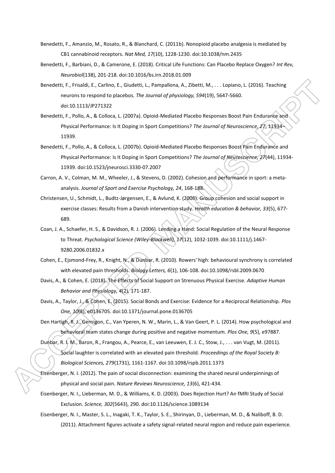- Benedetti, F., Amanzio, M., Rosato, R., & Blanchard, C. (2011b). Nonopioid placebo analgesia is mediated by CB1 cannabinoid receptors. *Nat Med, 17*(10), 1228-1230. doi:10.1038/nm.2435
- Benedetti, F., Barbiani, D., & Camerone, E. (2018). Critical Life Functions: Can Placebo Replace Oxygen? *Int Rev, Neurobiol*(138), 201-218. doi:10.1016/bs.irn.2018.01.009
- Benedetti, F., Frisaldi, E., Carlino, E., Giudetti, L., Pampallona, A., Zibetti, M., . . . Lopiano, L. (2016). Teaching neurons to respond to placebos. *The Journal of physiology, 594*(19), 5647-5660. doi:10.1113/JP271322
- Benedetti, F., Pollo, A., & Colloca, L. (2007a). Opioid-Mediated Placebo Responses Boost Pain Endurance and Physical Performance: Is It Doping in Sport Competitions? *The Journal of Neuroscience, 27*, 11934– 11939.
- Benedetti, F., Pollo, A., & Colloca, L. (2007b). Opioid-Mediated Placebo Responses Boost Pain Endurance and Physical Performance: Is It Doping in Sport Competitions? *The Journal of Neuroscience, 27*(44), 11934- 11939. doi:10.1523/jneurosci.3330-07.2007
- Carron, A. V., Colman, M. M., Wheeler, J., & Stevens, D. (2002). Cohesion and performance in sport: a metaanalysis. *Journal of Sport and Exercise Psychology, 24*, 168-188.
- Christensen, U., Schmidt, L., Budtz-Jørgensen, E., & Avlund, K. (2006). Group cohesion and social support in exercise classes: Results from a Danish intervention study. *Health education & behavior, 33*(5), 677- 689.
- Coan, J. A., Schaefer, H. S., & Davidson, R. J. (2006). Lending a Hand: Social Regulation of the Neural Response to Threat. *Psychological Science (Wiley-Blackwell), 17*(12), 1032-1039. doi:10.1111/j.1467- 9280.2006.01832.x
- Cohen, E., Ejsmond-Frey, R., Knight, N., & Dunbar, R. (2010). Rowers' high: behavioural synchrony is correlated with elevated pain thresholds. *Biology Letters, 6*(1), 106-108. doi:10.1098/rsbl.2009.0670
- Davis, A., & Cohen, E. (2018). The Effects of Social Support on Strenuous Physical Exercise. *Adaptive Human Behavior and Physiology, 4*(2), 171-187.
- Davis, A., Taylor, J., & Cohen, E. (2015). Social Bonds and Exercise: Evidence for a Reciprocal Relationship. *Plos One, 10*(8), e0136705. doi:10.1371/journal.pone.0136705
- Den Hartigh, R. J., Gernigon, C., Van Yperen, N. W., Marin, L., & Van Geert, P. L. (2014). How psychological and behavioral team states change during positive and negative momentum. *Plos One, 9*(5), e97887.
- Dunbar, R. I. M., Baron, R., Frangou, A., Pearce, E., van Leeuwen, E. J. C., Stow, J., . . . van Vugt, M. (2011). Social laughter is correlated with an elevated pain threshold. *Proceedings of the Royal Society B: Biological Sciences, 279*(1731), 1161-1167. doi:10.1098/rspb.2011.1373
- Eisenberger, N. I. (2012). The pain of social disconnection: examining the shared neural underpinnings of physical and social pain. *Nature Reviews Neuroscience, 13*(6), 421-434.
- Eisenberger, N. I., Lieberman, M. D., & Williams, K. D. (2003). Does Rejection Hurt? An fMRI Study of Social Exclusion. *Science, 302*(5643), 290. doi:10.1126/science.1089134
- Eisenberger, N. I., Master, S. L., Inagaki, T. K., Taylor, S. E., Shirinyan, D., Lieberman, M. D., & Naliboff, B. D. (2011). Attachment figures activate a safety signal-related neural region and reduce pain experience.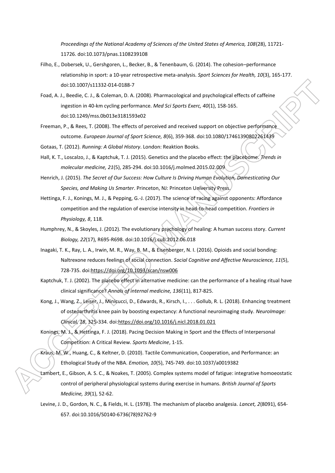*Proceedings of the National Academy of Sciences of the United States of America, 108*(28), 11721- 11726. doi:10.1073/pnas.1108239108

- Filho, E., Dobersek, U., Gershgoren, L., Becker, B., & Tenenbaum, G. (2014). The cohesion–performance relationship in sport: a 10-year retrospective meta-analysis. *Sport Sciences for Health, 10*(3), 165-177. doi:10.1007/s11332-014-0188-7
- Foad, A. J., Beedie, C. J., & Coleman, D. A. (2008). Pharmacological and psychological effects of caffeine ingestion in 40-km cycling performance. *Med Sci Sports Exerc, 40*(1), 158-165. doi:10.1249/mss.0b013e3181593e02
- Freeman, P., & Rees, T. (2008). The effects of perceived and received support on objective performance outcome. *European Journal of Sport Science, 8*(6), 359-368. doi:10.1080/17461390802261439
- Gotaas, T. (2012). *Running: A Global History*. London: Reaktion Books.
- Hall, K. T., Loscalzo, J., & Kaptchuk, T. J. (2015). Genetics and the placebo effect: the placebome. *Trends in molecular medicine, 21*(5), 285-294. doi:10.1016/j.molmed.2015.02.009
- Henrich, J. (2015). *The Secret of Our Success: How Culture Is Driving Human Evolution, Domesticating Our Species, and Making Us Smarter*. Princeton, NJ: Princeton University Press.
- Hettinga, F. J., Konings, M. J., & Pepping, G.-J. (2017). The science of racing against opponents: Affordance competition and the regulation of exercise intensity in head-to-head competition. *Frontiers in Physiology, 8*, 118.
- Humphrey, N., & Skoyles, J. (2012). The evolutionary psychology of healing: A human success story. *Current Biology, 22*(17), R695-R698. doi:10.1016/j.cub.2012.06.018
- Inagaki, T. K., Ray, L. A., Irwin, M. R., Way, B. M., & Eisenberger, N. I. (2016). Opioids and social bonding: Naltrexone reduces feelings of social connection. *Social Cognitive and Affective Neuroscience, 11*(5), 728-735. doi[:https://doi.org/10.1093/scan/nsw006](https://doi.org/10.1093/scan/nsw006)
- Kaptchuk, T. J. (2002). The placebo effect in alternative medicine: can the performance of a healing ritual have clinical significance? *Annals of internal medicine, 136*(11), 817-825.
- Kong, J., Wang, Z., Leiser, J., Minicucci, D., Edwards, R., Kirsch, I., . . . Gollub, R. L. (2018). Enhancing treatment of osteoarthritis knee pain by boosting expectancy: A functional neuroimaging study. *NeuroImage: Clinical, 18*, 325-334. doi[:https://doi.org/10.1016/j.nicl.2018.01.021](https://doi.org/10.1016/j.nicl.2018.01.021)
- Konings, M. J., & Hettinga, F. J. (2018). Pacing Decision Making in Sport and the Effects of Interpersonal Competition: A Critical Review. *Sports Medicine*, 1-15.
- Kraus, M. W., Huang, C., & Keltner, D. (2010). Tactile Communication, Cooperation, and Performance: an Ethological Study of the NBA. *Emotion, 10*(5), 745-749. doi:10.1037/a0019382
- Lambert, E., Gibson, A. S. C., & Noakes, T. (2005). Complex systems model of fatigue: integrative homoeostatic control of peripheral physiological systems during exercise in humans. *British Journal of Sports Medicine, 39*(1), 52-62.
- Levine, J. D., Gordon, N. C., & Fields, H. L. (1978). The mechanism of placebo analgesia. *Lancet, 2*(8091), 654- 657. doi:10.1016/S0140-6736(78)92762-9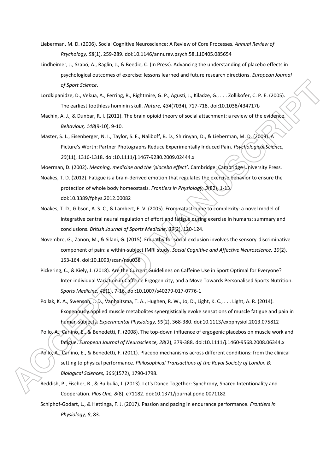- Lieberman, M. D. (2006). Social Cognitive Neuroscience: A Review of Core Processes. *Annual Review of Psychology, 58*(1), 259-289. doi:10.1146/annurev.psych.58.110405.085654
- Lindheimer, J., Szabó, A., Raglin, J., & Beedie, C. (In Press). Advancing the understanding of placebo effects in psychological outcomes of exercise: lessons learned and future research directions. *European Journal of Sport Science*.
- Lordkipanidze, D., Vekua, A., Ferring, R., Rightmire, G. P., Agusti, J., Kiladze, G., . . . Zollikofer, C. P. E. (2005). The earliest toothless hominin skull. *Nature, 434*(7034), 717-718. doi:10.1038/434717b
- Machin, A. J., & Dunbar, R. I. (2011). The brain opioid theory of social attachment: a review of the evidence. *Behaviour, 148*(9-10), 9-10.
- Master, S. L., Eisenberger, N. I., Taylor, S. E., Naliboff, B. D., Shirinyan, D., & Lieberman, M. D. (2009). A Picture's Worth: Partner Photographs Reduce Experimentally Induced Pain. *Psychological Science, 20*(11), 1316-1318. doi:10.1111/j.1467-9280.2009.02444.x
- Moerman, D. (2002). *Meaning, medicine and the 'placebo effect'*. Cambridge: Cambridge University Press.
- Noakes, T. D. (2012). Fatigue is a brain-derived emotion that regulates the exercise behavior to ensure the protection of whole body homeostasis. *Frontiers in Physiology, 3*(82), 1-13. doi:10.3389/fphys.2012.00082
- Noakes, T. D., Gibson, A. S. C., & Lambert, E. V. (2005). From catastrophe to complexity: a novel model of integrative central neural regulation of effort and fatigue during exercise in humans: summary and conclusions. *British Journal of Sports Medicine, 39*(2), 120-124.
- Novembre, G., Zanon, M., & Silani, G. (2015). Empathy for social exclusion involves the sensory-discriminative component of pain: a within-subject fMRI study. *Social Cognitive and Affective Neuroscience, 10*(2), 153-164. doi:10.1093/scan/nsu038
- Pickering, C., & Kiely, J. (2018). Are the Current Guidelines on Caffeine Use in Sport Optimal for Everyone? Inter-individual Variation in Caffeine Ergogenicity, and a Move Towards Personalised Sports Nutrition. *Sports Medicine, 48*(1), 7-16. doi:10.1007/s40279-017-0776-1
- Pollak, K. A., Swenson, J. D., Vanhaitsma, T. A., Hughen, R. W., Jo, D., Light, K. C., . . . Light, A. R. (2014). Exogenously applied muscle metabolites synergistically evoke sensations of muscle fatigue and pain in human subjects. *Experimental Physiology, 99*(2), 368-380. doi:10.1113/expphysiol.2013.075812
- Pollo, A., Carlino, E., & Benedetti, F. (2008). The top-down influence of ergogenic placebos on muscle work and fatigue. *European Journal of Neuroscience, 28*(2), 379-388. doi:10.1111/j.1460-9568.2008.06344.x
- Pollo, A., Carlino, E., & Benedetti, F. (2011). Placebo mechanisms across different conditions: from the clinical setting to physical performance. *Philosophical Transactions of the Royal Society of London B: Biological Sciences, 366*(1572), 1790-1798.
- Reddish, P., Fischer, R., & Bulbulia, J. (2013). Let's Dance Together: Synchrony, Shared Intentionality and Cooperation. *Plos One, 8*(8), e71182. doi:10.1371/journal.pone.0071182
- Schiphof-Godart, L., & Hettinga, F. J. (2017). Passion and pacing in endurance performance. *Frontiers in Physiology, 8*, 83.